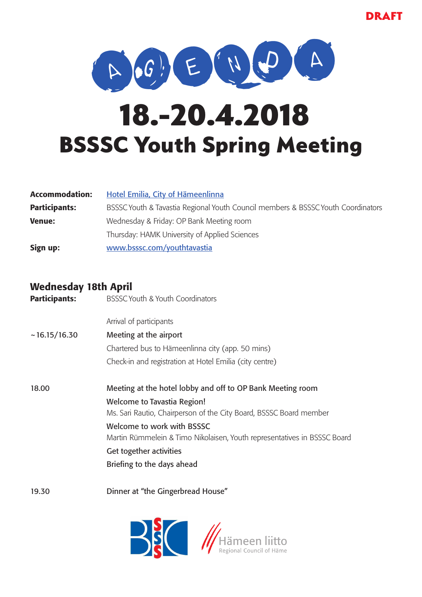

# BSSSC Youth Spring Meeting 18.-20.4.2018

| <b>Accommodation:</b> | Hotel Emilia, City of Hämeenlinna                                                |  |
|-----------------------|----------------------------------------------------------------------------------|--|
| <b>Participants:</b>  | BSSSC Youth & Tavastia Regional Youth Council members & BSSSC Youth Coordinators |  |
| <b>Venue:</b>         | Wednesday & Friday: OP Bank Meeting room                                         |  |
|                       | Thursday: HAMK University of Applied Sciences                                    |  |
| Sign up:              | www.bsssc.com/youthtavastia                                                      |  |

### Wednesday 18th April

| <b>Participants:</b> | <b>BSSSC Youth &amp; Youth Coordinators</b>                                                              |
|----------------------|----------------------------------------------------------------------------------------------------------|
|                      | Arrival of participants                                                                                  |
| ~16.15/16.30         | Meeting at the airport                                                                                   |
|                      | Chartered bus to Hämeenlinna city (app. 50 mins)                                                         |
|                      | Check-in and registration at Hotel Emilia (city centre)                                                  |
| 18.00                | Meeting at the hotel lobby and off to OP Bank Meeting room                                               |
|                      | <b>Welcome to Tavastia Region!</b><br>Ms. Sari Rautio, Chairperson of the City Board, BSSSC Board member |
|                      | Welcome to work with BSSSC<br>Martin Rümmelein & Timo Nikolaisen, Youth representatives in BSSSC Board   |
|                      | Get together activities                                                                                  |
|                      | Briefing to the days ahead                                                                               |
|                      |                                                                                                          |



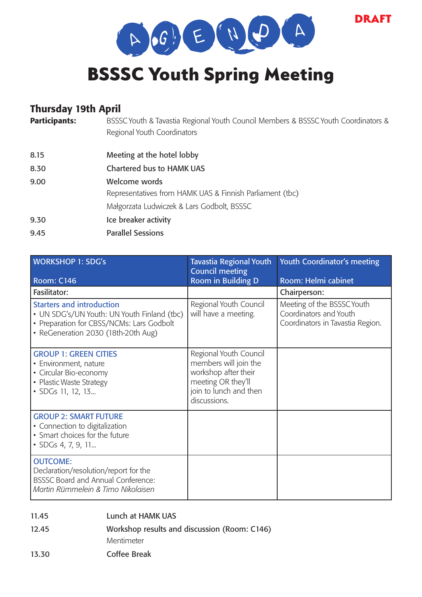DRAFT



## BSSSC Youth Spring Meeting

### Thursday 19th April

| <b>Participants:</b> | BSSSC Youth & Tavastia Regional Youth Council Members & BSSSC Youth Coordinators &<br>Regional Youth Coordinators |
|----------------------|-------------------------------------------------------------------------------------------------------------------|
| 8.15                 | Meeting at the hotel lobby                                                                                        |
| 8.30                 | <b>Chartered bus to HAMK UAS</b>                                                                                  |
| 9.00                 | Welcome words                                                                                                     |
|                      | Representatives from HAMK UAS & Finnish Parliament (tbc)                                                          |
|                      | Małgorzata Ludwiczek & Lars Godbolt, BSSSC                                                                        |
| 9.30                 | Ice breaker activity                                                                                              |
| 9.45                 | <b>Parallel Sessions</b>                                                                                          |
|                      |                                                                                                                   |

| <b>WORKSHOP 1: SDG's</b><br><b>Room: C146</b>                                                                                                                       | <b>Tavastia Regional Youth</b><br><b>Council meeting</b><br>Room in Building D                                                          | Youth Coordinator's meeting<br>Room: Helmi cabinet                                       |
|---------------------------------------------------------------------------------------------------------------------------------------------------------------------|-----------------------------------------------------------------------------------------------------------------------------------------|------------------------------------------------------------------------------------------|
| Fasilitator:                                                                                                                                                        |                                                                                                                                         | Chairperson:                                                                             |
| <b>Starters and introduction</b><br>• UN SDG's/UN Youth: UN Youth Finland (tbc)<br>• Preparation for CBSS/NCMs: Lars Godbolt<br>• ReGeneration 2030 (18th-20th Aug) | Regional Youth Council<br>will have a meeting.                                                                                          | Meeting of the BSSSC Youth<br>Coordinators and Youth<br>Coordinators in Tavastia Region. |
| <b>GROUP 1: GREEN CITIES</b><br>• Environment, nature<br>• Circular Bio-economy<br>• Plastic Waste Strategy<br>• SDGs 11, 12, 13                                    | Regional Youth Council<br>members will join the<br>workshop after their<br>meeting OR they'll<br>join to lunch and then<br>discussions. |                                                                                          |
| <b>GROUP 2: SMART FUTURE</b><br>• Connection to digitalization<br>• Smart choices for the future<br>• SDGs 4, 7, 9, 11                                              |                                                                                                                                         |                                                                                          |
| <b>OUTCOME:</b><br>Declaration/resolution/report for the<br><b>BSSSC Board and Annual Conference:</b><br>Martin Rümmelein & Timo Nikolaisen                         |                                                                                                                                         |                                                                                          |

11.45 Lunch at HAMK UAS

12.45 Workshop results and discussion (Room: C146)

Mentimeter

13.30 Coffee Break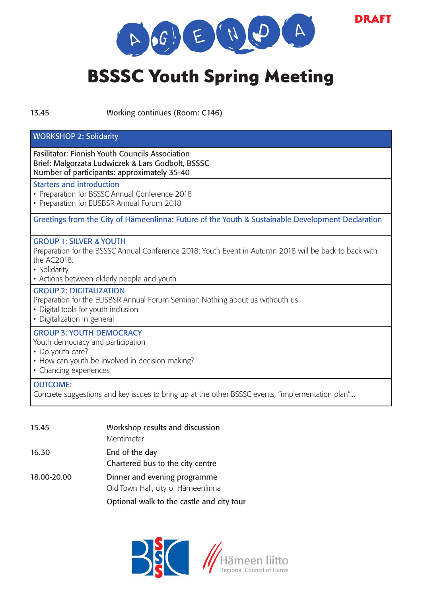

DRAFT

# BSSSC Youth Spring Meeting

13.45 Working continues (Room: C146)

#### WORKSHOP 2: Solidarity

Fasilitator: Finnish Youth Councils Association Brief: Malgorzata Ludwiczek & Lars Godbolt, BSSSC Number of participants: approximately 35-40

#### Starters and introduction

- Preparation for BSSSC Annual Conference 2018
- Preparation for EUSBSR Annual Forum 2018

Greetings from the City of Hämeenlinna: Future of the Youth & Sustainable Development Declaration

#### GROUP 1: SILVER & YOUTH

Preparation for the BSSSC Annual Conference 2018: Youth Event in Autumn 2018 will be back to back with the AC2018.

- Solidarity
- Actions between elderly people and youth

#### GROUP 2: DIGITALIZATION

Preparation for the EUSBSR Annual Forum Seminar: Nothing about us withouth us

• Digital tools for youth inclusion

• Digitalization in general

#### GROUP 3: YOUTH DEMOCRACY

Youth democracy and participation

- Do youth care?
- How can youth be involved in decision making?
- Chancing experiences

#### OUTCOME:

Concrete suggestions and key issues to bring up at the other BSSSC events, "implementation plan"...

| 15.45       | Workshop results and discussion           |  |
|-------------|-------------------------------------------|--|
|             | Mentimeter                                |  |
| 16.30       | End of the day                            |  |
|             | Chartered bus to the city centre          |  |
| 18.00-20.00 | Dinner and evening programme              |  |
|             | Old Town Hall, city of Hämeenlinna        |  |
|             | Optional walk to the castle and city tour |  |